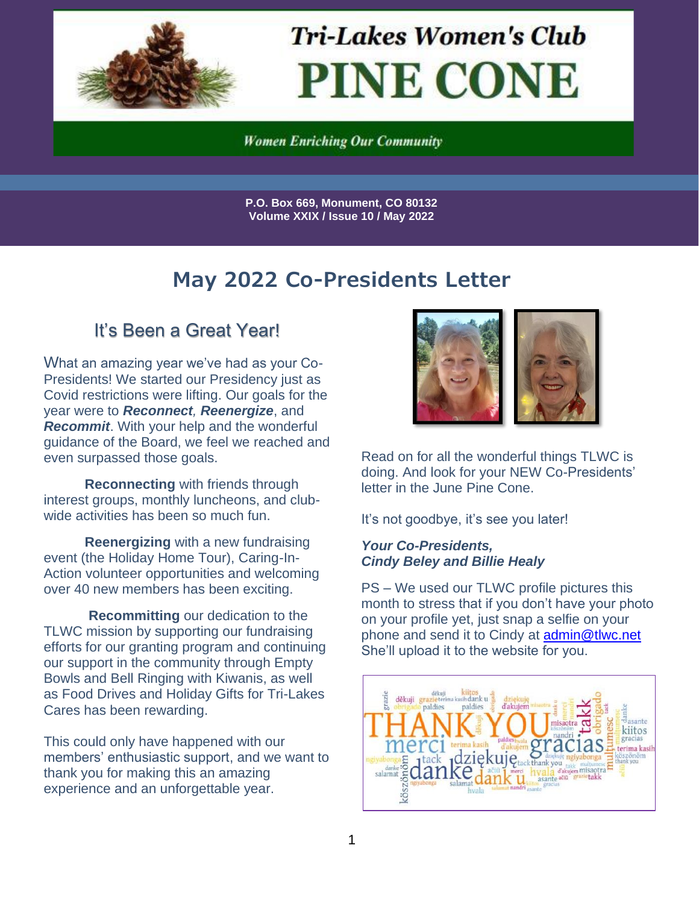

**Tri-Lakes Women's Club PINE CONE** 

**Women Enriching Our Community** 

**P.O. Box 669, Monument, CO 80132 Volume XXIX / Issue 10 / May 2022**

# **May 2022 Co-Presidents Letter**

### It's Been a Great Year!

What an amazing year we've had as your Co-Presidents! We started our Presidency just as Covid restrictions were lifting. Our goals for the year were to *Reconnect, Reenergize*, and *Recommit*. With your help and the wonderful guidance of the Board, we feel we reached and even surpassed those goals.

**Reconnecting** with friends through interest groups, monthly luncheons, and clubwide activities has been so much fun.

**Reenergizing** with a new fundraising event (the Holiday Home Tour), Caring-In-Action volunteer opportunities and welcoming over 40 new members has been exciting.

**Recommitting** our dedication to the TLWC mission by supporting our fundraising efforts for our granting program and continuing our support in the community through Empty Bowls and Bell Ringing with Kiwanis, as well as Food Drives and Holiday Gifts for Tri-Lakes Cares has been rewarding.

This could only have happened with our members' enthusiastic support, and we want to thank you for making this an amazing experience and an unforgettable year.



Read on for all the wonderful things TLWC is doing. And look for your NEW Co-Presidents' letter in the June Pine Cone.

It's not goodbye, it's see you later!

#### *Your Co-Presidents, Cindy Beley and Billie Healy*

PS – We used our TLWC profile pictures this month to stress that if you don't have your photo on your profile yet, just snap a selfie on your phone and send it to Cindy at [admin@tlwc.net](mailto:admin@tlwc.net) She'll upload it to the website for you.

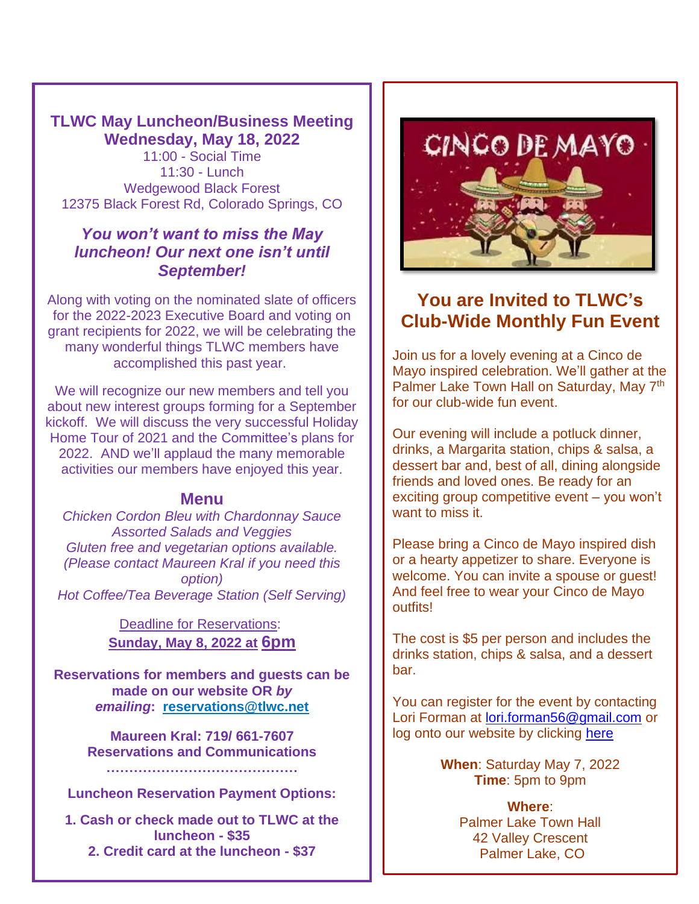#### **TLWC May Luncheon/Business Meeting Wednesday, May 18, 2022**

11:00 - Social Time 11:30 - Lunch Wedgewood Black Forest 12375 Black Forest Rd, Colorado Springs, CO

#### *You won't want to miss the May luncheon! Our next one isn't until September!*

Along with voting on the nominated slate of officers for the 2022-2023 Executive Board and voting on grant recipients for 2022, we will be celebrating the many wonderful things TLWC members have accomplished this past year.

We will recognize our new members and tell you about new interest groups forming for a September kickoff. We will discuss the very successful Holiday Home Tour of 2021 and the Committee's plans for 2022. AND we'll applaud the many memorable activities our members have enjoyed this year.

#### **Menu**

*Chicken Cordon Bleu with Chardonnay Sauce Assorted Salads and Veggies Gluten free and vegetarian options available. (Please contact Maureen Kral if you need this option) Hot Coffee/Tea Beverage Station (Self Serving)*

> Deadline for [Reservations:](mailto:reservations@tlwc.net) **Sunday, May 8, 2022 at 6pm**

**Reservations for members and guests can be made on our website OR** *by emailing***: [reservations@tlwc.net](https://tlwc.net/file:/C:/Users/Maureen/Documents/TLWC/Board%202021%20-%202022/Reservation%20Communication/Luncheon%20Announcements/reservations@tlwc.net)**

> **Maureen Kral: 719/ 661-7607 Reservations and Communications ……………………………………**

**Luncheon Reservation Payment Options:**

**1. Cash or check made out to TLWC at the luncheon - \$35 2. Credit card at the luncheon - \$37**



## **You are Invited to TLWC's Club-Wide Monthly Fun Event**

Join us for a lovely evening at a Cinco de Mayo inspired celebration. We'll gather at the Palmer Lake Town Hall on Saturday, May 7<sup>th</sup> for our club-wide fun event.

Our evening will include a potluck dinner, drinks, a Margarita station, chips & salsa, a dessert bar and, best of all, dining alongside friends and loved ones. Be ready for an exciting group competitive event – you won't want to miss it.

Please bring a Cinco de Mayo inspired dish or a hearty appetizer to share. Everyone is welcome. You can invite a spouse or guest! And feel free to wear your Cinco de Mayo outfits!

The cost is \$5 per person and includes the drinks station, chips & salsa, and a dessert bar.

You can register for the event by contacting Lori Forman at [lori.forman56@gmail.com](mailto:lori.forman56@gmail.com) or log onto our website by clicking [here](https://tlwc.net/event-4801383?CalendarViewType=1&SelectedDate=4/29/2022)

> **When**: Saturday May 7, 2022 **Time**: 5pm to 9pm

> > **Where**: Palmer Lake Town Hall 42 Valley Crescent Palmer Lake, CO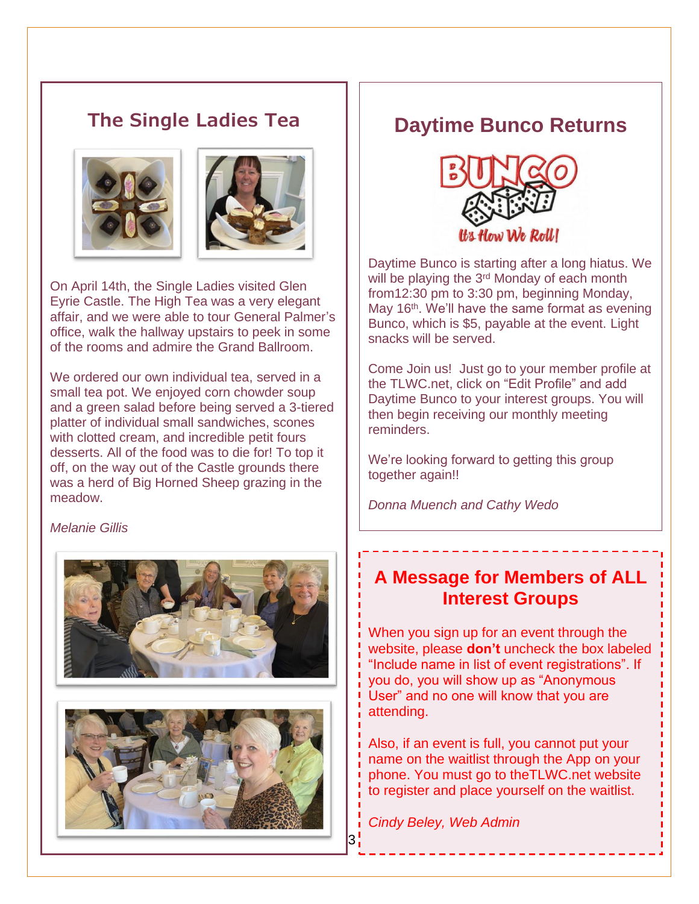#### **The Single Ladies Tea**





On April 14th, the Single Ladies visited Glen Eyrie Castle. The High Tea was a very elegant affair, and we were able to tour General Palmer's office, walk the hallway upstairs to peek in some of the rooms and admire the Grand Ballroom.

We ordered our own individual tea, served in a small tea pot. We enjoyed corn chowder soup and a green salad before being served a 3-tiered platter of individual small sandwiches, scones with clotted cream, and incredible petit fours desserts. All of the food was to die for! To top it off, on the way out of the Castle grounds there was a herd of Big Horned Sheep grazing in the meadow.

#### *Melanie Gillis*





### **Daytime Bunco Returns**



Daytime Bunco is starting after a long hiatus. We will be playing the 3<sup>rd</sup> Monday of each month from12:30 pm to 3:30 pm, beginning Monday, May 16<sup>th</sup>. We'll have the same format as evening Bunco, which is \$5, payable at the event. Light snacks will be served.

Come Join us! Just go to your member profile at the TLWC.net, click on "Edit Profile" and add Daytime Bunco to your interest groups. You will then begin receiving our monthly meeting reminders.

We're looking forward to getting this group together again!!

*Donna Muench and Cathy Wedo*

#### **A Message for Members of ALL Interest Groups**

When you sign up for an event through the website, please **don't** uncheck the box labeled "Include name in list of event registrations". If you do, you will show up as "Anonymous User" and no one will know that you are attending.

Also, if an event is full, you cannot put your name on the waitlist through the App on your phone. You must go to theTLWC.net website to register and place yourself on the waitlist.

*Cindy Beley, Web Admin*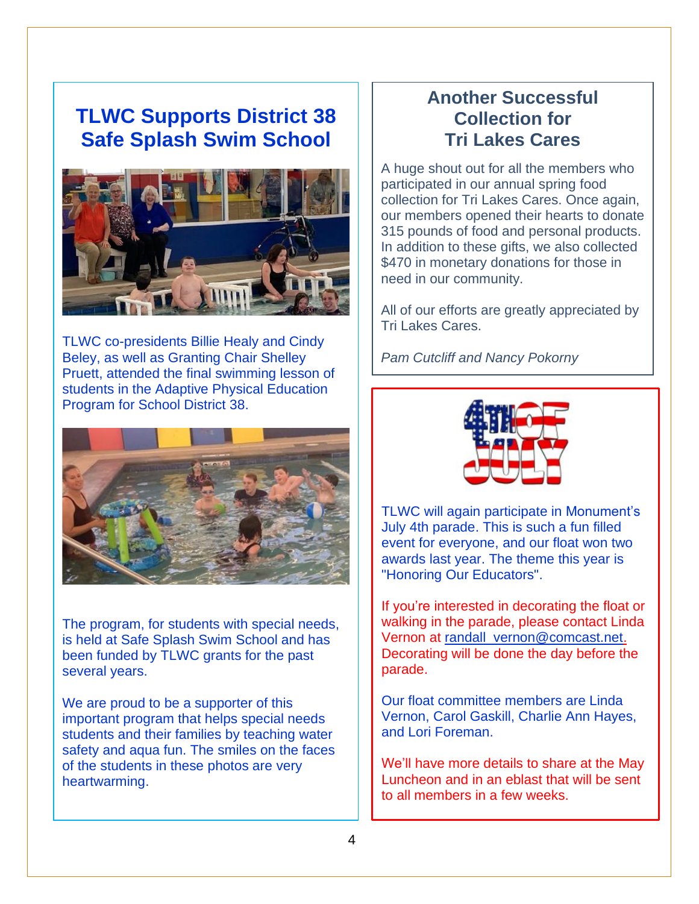# **TLWC Supports District 38 Safe Splash Swim School**



TLWC co-presidents Billie Healy and Cindy Beley, as well as Granting Chair Shelley Pruett, attended the final swimming lesson of students in the Adaptive Physical Education Program for School District 38.



The program, for students with special needs, is held at Safe Splash Swim School and has been funded by TLWC grants for the past several years.

We are proud to be a supporter of this important program that helps special needs students and their families by teaching water safety and aqua fun. The smiles on the faces of the students in these photos are very heartwarming.

## **Another Successful Collection for Tri Lakes Cares**

A huge shout out for all the members who participated in our annual spring food collection for Tri Lakes Cares. Once again, our members opened their hearts to donate 315 pounds of food and personal products. In addition to these gifts, we also collected \$470 in monetary donations for those in need in our community.

All of our efforts are greatly appreciated by Tri Lakes Cares.

*Pam Cutcliff and Nancy Pokorny*



TLWC will again participate in Monument's July 4th parade. This is such a fun filled event for everyone, and our float won two awards last year. The theme this year is "Honoring Our Educators".

If you're interested in decorating the float or walking in the parade, please contact Linda Vernon at [randall\\_vernon@comcast.net.](mailto:randall_vernon@comcast.net) Decorating will be done the day before the parade.

Our float committee members are Linda Vernon, Carol Gaskill, Charlie Ann Hayes, and Lori Foreman.

We'll have more details to share at the May Luncheon and in an eblast that will be sent to all members in a few weeks.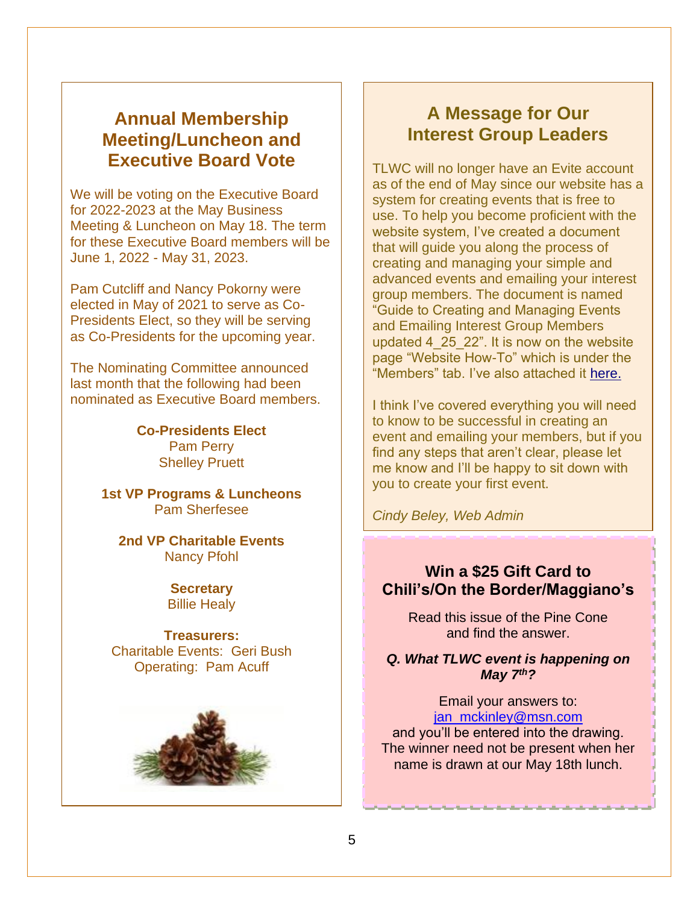### **Annual Membership Meeting/Luncheon and Executive Board Vote**

We will be voting on the Executive Board for 2022-2023 at the May Business Meeting & Luncheon on May 18. The term for these Executive Board members will be June 1, 2022 - May 31, 2023.

Pam Cutcliff and Nancy Pokorny were elected in May of 2021 to serve as Co-Presidents Elect, so they will be serving as Co-Presidents for the upcoming year.

The Nominating Committee announced last month that the following had been nominated as Executive Board members.

> **Co-Presidents Elect** Pam Perry Shelley Pruett

**1st VP Programs & Luncheons** Pam Sherfesee

**2nd VP Charitable Events** Nancy Pfohl

> **Secretary** Billie Healy

**Treasurers:** Charitable Events: Geri Bush Operating: Pam Acuff



.

## **A Message for Our Interest Group Leaders**

TLWC will no longer have an Evite account as of the end of May since our website has a system for creating events that is free to use. To help you become proficient with the website system, I've created a document that will guide you along the process of creating and managing your simple and advanced events and emailing your interest group members. The document is named "Guide to Creating and Managing Events and Emailing Interest Group Members updated 4\_25\_22". It is now on the website page "Website How-To" which is under the "Members" tab. I've also attached it [here.](../../Downloads/Guide%20to%20Creating%20and%20Managing%20Events%20and%20Emailing%20Interest%20Group%20Members%20updated%204_25_22.docx)

I think I've covered everything you will need to know to be successful in creating an event and emailing your members, but if you find any steps that aren't clear, please let me know and I'll be happy to sit down with you to create your first event.

*Cindy Beley, Web Admin*

#### **Win a \$25 Gift Card to Chili's/On the Border/Maggiano's**

Read this issue of the Pine Cone and find the answer.

*Q. What TLWC event is happening on May 7 th?*

Email your answers to: [jan\\_mckinley@msn.com](mailto:jan_mckinley@msn.com) and you'll be entered into the drawing.

The winner need not be present when her name is drawn at our May 18th lunch.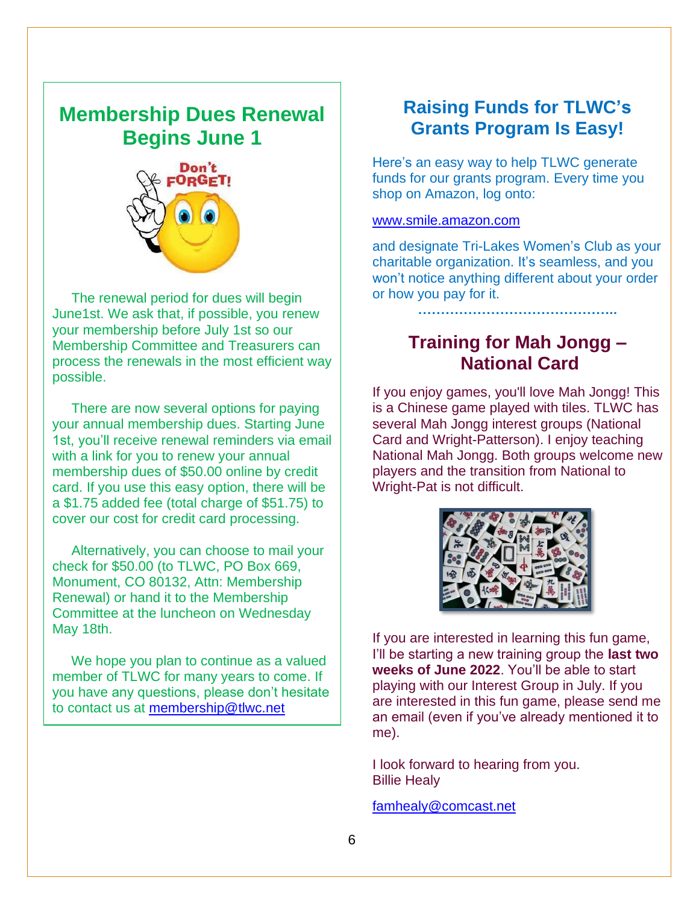## **Membership Dues Renewal Begins June 1**



 The renewal period for dues will begin June1st. We ask that, if possible, you renew your membership before July 1st so our Membership Committee and Treasurers can process the renewals in the most efficient way possible.

 There are now several options for paying your annual membership dues. Starting June 1st, you'll receive renewal reminders via email with a link for you to renew your annual membership dues of \$50.00 online by credit card. If you use this easy option, there will be a \$1.75 added fee (total charge of \$51.75) to cover our cost for credit card processing.

 Alternatively, you can choose to mail your check for \$50.00 (to TLWC, PO Box 669, Monument, CO 80132, Attn: Membership Renewal) or hand it to the Membership Committee at the luncheon on Wednesday May 18th.

 We hope you plan to continue as a valued member of TLWC for many years to come. If you have any questions, please don't hesitate to contact us at [membership@tlwc.net](mailto:membership@tlwc.net)

## **Raising Funds for TLWC's Grants Program Is Easy!**

Here's an easy way to help TLWC generate funds for our grants program. Every time you shop on Amazon, log onto:

#### [www.smile.amazon.com](http://www.smile.amazon.com/)

and designate Tri-Lakes Women's Club as your charitable organization. It's seamless, and you won't notice anything different about your order or how you pay for it.

**……………………………………..**

## **Training for Mah Jongg – National Card**

If you enjoy games, you'll love Mah Jongg! This is a Chinese game played with tiles. TLWC has several Mah Jongg interest groups (National Card and Wright-Patterson). I enjoy teaching National Mah Jongg. Both groups welcome new players and the transition from National to Wright-Pat is not difficult.



If you are interested in learning this fun game, I'll be starting a new training group the **last two weeks of June 2022**. You'll be able to start playing with our Interest Group in July. If you are interested in this fun game, please send me an email (even if you've already mentioned it to me).

I look forward to hearing from you. Billie Healy

[famhealy@comcast.net](mailto:famhealy@comcast.net)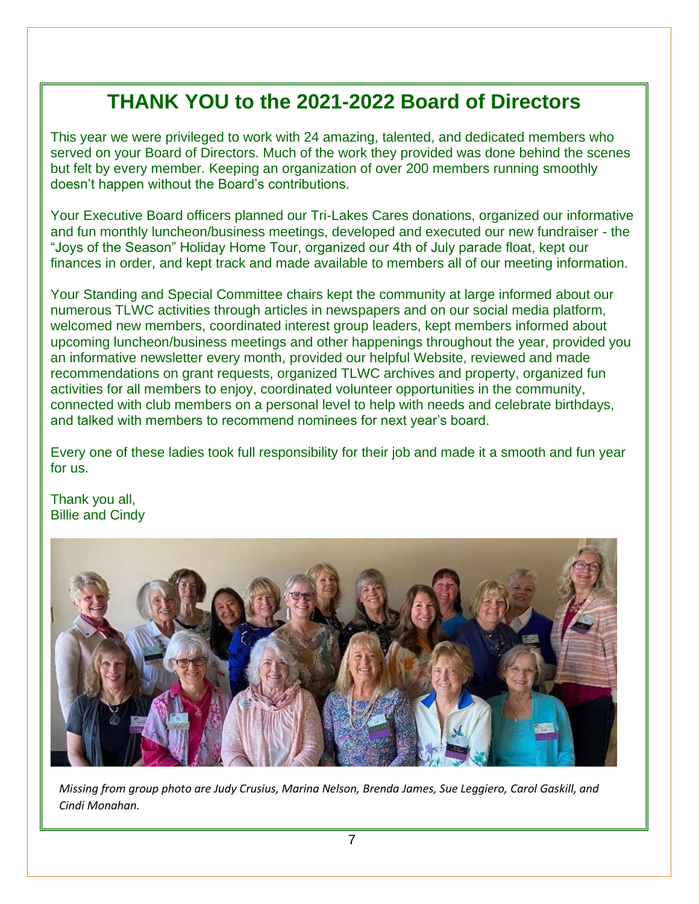# **THANK YOU to the 2021-2022 Board of Directors**

This year we were privileged to work with 24 amazing, talented, and dedicated members who served on your Board of Directors. Much of the work they provided was done behind the scenes but felt by every member. Keeping an organization of over 200 members running smoothly doesn't happen without the Board's contributions.

Your Executive Board officers planned our Tri-Lakes Cares donations, organized our informative and fun monthly luncheon/business meetings, developed and executed our new fundraiser - the "Joys of the Season" Holiday Home Tour, organized our 4th of July parade float, kept our finances in order, and kept track and made available to members all of our meeting information.

Your Standing and Special Committee chairs kept the community at large informed about our numerous TLWC activities through articles in newspapers and on our social media platform, welcomed new members, coordinated interest group leaders, kept members informed about upcoming luncheon/business meetings and other happenings throughout the year, provided you an informative newsletter every month, provided our helpful Website, reviewed and made recommendations on grant requests, organized TLWC archives and property, organized fun activities for all members to enjoy, coordinated volunteer opportunities in the community, connected with club members on a personal level to help with needs and celebrate birthdays, and talked with members to recommend nominees for next year's board.

Every one of these ladies took full responsibility for their job and made it a smooth and fun year for us.

Thank you all, Billie and Cindy



*Missing from group photo are Judy Crusius, Marina Nelson, Brenda James, Sue Leggiero, Carol Gaskill, and Cindi Monahan.*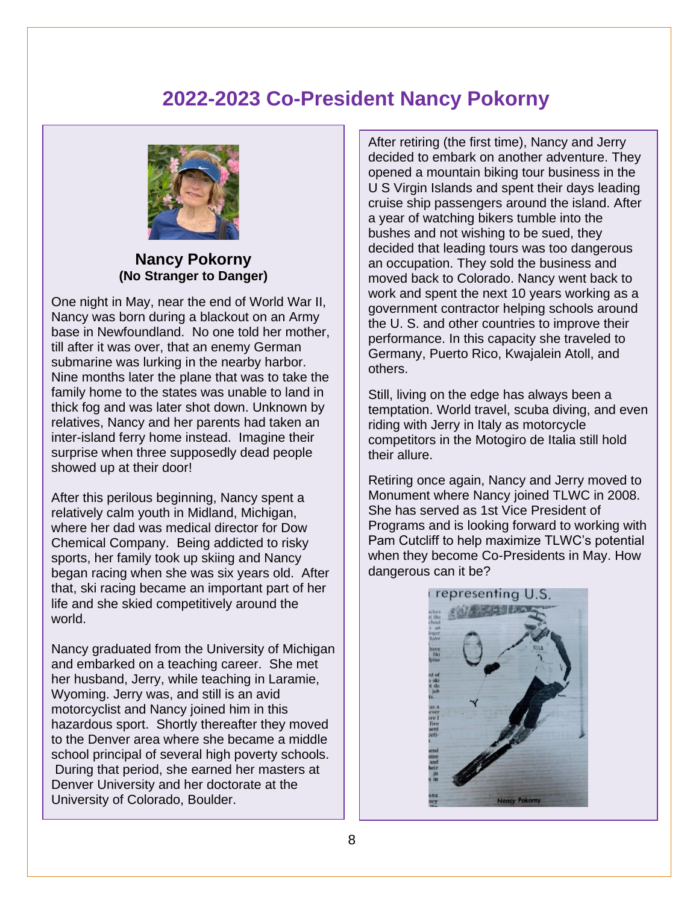# **2022-2023 Co-President Nancy Pokorny**



**Nancy Pokorny (No Stranger to Danger)**

One night in May, near the end of World War II, Nancy was born during a blackout on an Army base in Newfoundland. No one told her mother, till after it was over, that an enemy German submarine was lurking in the nearby harbor. Nine months later the plane that was to take the family home to the states was unable to land in thick fog and was later shot down. Unknown by relatives, Nancy and her parents had taken an inter-island ferry home instead. Imagine their surprise when three supposedly dead people showed up at their door!

After this perilous beginning, Nancy spent a relatively calm youth in Midland, Michigan, where her dad was medical director for Dow Chemical Company. Being addicted to risky sports, her family took up skiing and Nancy began racing when she was six years old. After that, ski racing became an important part of her life and she skied competitively around the world.

Nancy graduated from the University of Michigan and embarked on a teaching career. She met her husband, Jerry, while teaching in Laramie, Wyoming. Jerry was, and still is an avid motorcyclist and Nancy joined him in this hazardous sport. Shortly thereafter they moved to the Denver area where she became a middle school principal of several high poverty schools. During that period, she earned her masters at Denver University and her doctorate at the University of Colorado, Boulder.

After retiring (the first time), Nancy and Jerry decided to embark on another adventure. They opened a mountain biking tour business in the U S Virgin Islands and spent their days leading cruise ship passengers around the island. After a year of watching bikers tumble into the bushes and not wishing to be sued, they decided that leading tours was too dangerous an occupation. They sold the business and moved back to Colorado. Nancy went back to work and spent the next 10 years working as a government contractor helping schools around the U. S. and other countries to improve their performance. In this capacity she traveled to Germany, Puerto Rico, Kwajalein Atoll, and others.

Still, living on the edge has always been a temptation. World travel, scuba diving, and even riding with Jerry in Italy as motorcycle competitors in the Motogiro de Italia still hold their allure.

Retiring once again, Nancy and Jerry moved to Monument where Nancy joined TLWC in 2008. She has served as 1st Vice President of Programs and is looking forward to working with Pam Cutcliff to help maximize TLWC's potential when they become Co-Presidents in May. How dangerous can it be?

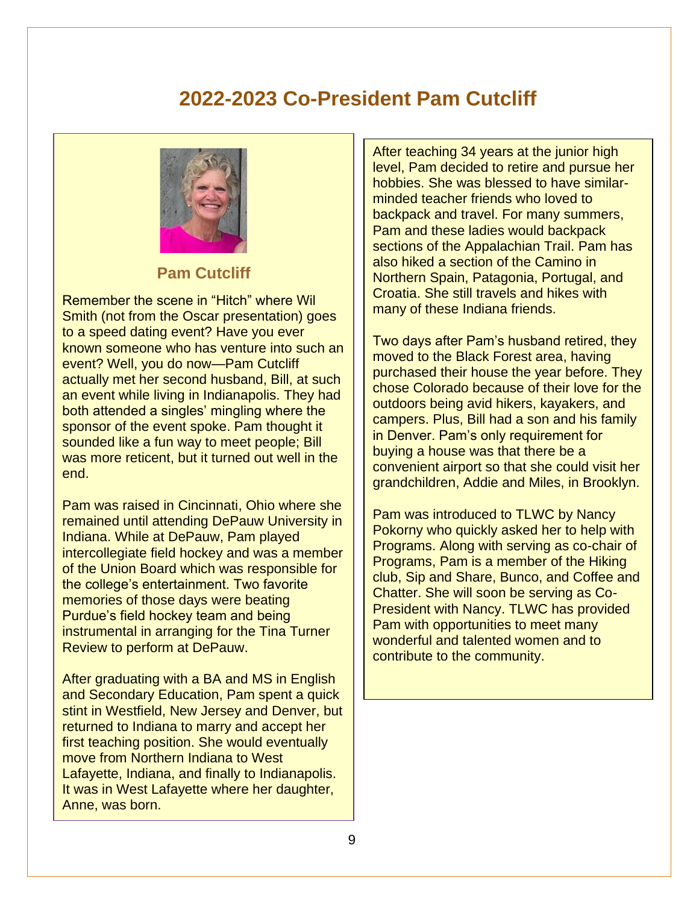# **2022-2023 Co-President Pam Cutcliff**



#### **Pam Cutcliff**

Remember the scene in "Hitch" where Wil Smith (not from the Oscar presentation) goes to a speed dating event? Have you ever known someone who has venture into such an event? Well, you do now—Pam Cutcliff actually met her second husband, Bill, at such an event while living in Indianapolis. They had both attended a singles' mingling where the sponsor of the event spoke. Pam thought it sounded like a fun way to meet people; Bill was more reticent, but it turned out well in the end.

Pam was raised in Cincinnati, Ohio where she remained until attending DePauw University in Indiana. While at DePauw, Pam played intercollegiate field hockey and was a member of the Union Board which was responsible for the college's entertainment. Two favorite memories of those days were beating Purdue's field hockey team and being instrumental in arranging for the Tina Turner Review to perform at DePauw.

After graduating with a BA and MS in English and Secondary Education, Pam spent a quick stint in Westfield, New Jersey and Denver, but returned to Indiana to marry and accept her first teaching position. She would eventually move from Northern Indiana to West Lafayette, Indiana, and finally to Indianapolis. It was in West Lafayette where her daughter, Anne, was born.

After teaching 34 years at the junior high level, Pam decided to retire and pursue her hobbies. She was blessed to have similarminded teacher friends who loved to backpack and travel. For many summers, Pam and these ladies would backpack sections of the Appalachian Trail. Pam has also hiked a section of the Camino in Northern Spain, Patagonia, Portugal, and Croatia. She still travels and hikes with many of these Indiana friends.

Two days after Pam's husband retired, they moved to the Black Forest area, having purchased their house the year before. They chose Colorado because of their love for the outdoors being avid hikers, kayakers, and campers. Plus, Bill had a son and his family in Denver. Pam's only requirement for buying a house was that there be a convenient airport so that she could visit her grandchildren, Addie and Miles, in Brooklyn.

Pam was introduced to TLWC by Nancy Pokorny who quickly asked her to help with Programs. Along with serving as co-chair of Programs, Pam is a member of the Hiking club, Sip and Share, Bunco, and Coffee and Chatter. She will soon be serving as Co-President with Nancy. TLWC has provided Pam with opportunities to meet many wonderful and talented women and to contribute to the community.